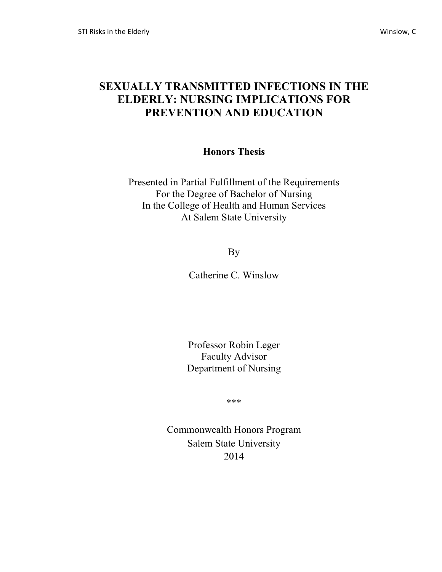# **SEXUALLY TRANSMITTED INFECTIONS IN THE ELDERLY: NURSING IMPLICATIONS FOR PREVENTION AND EDUCATION**

### **Honors Thesis**

Presented in Partial Fulfillment of the Requirements For the Degree of Bachelor of Nursing In the College of Health and Human Services At Salem State University

By

Catherine C. Winslow

Professor Robin Leger Faculty Advisor Department of Nursing

\*\*\*

Commonwealth Honors Program Salem State University 2014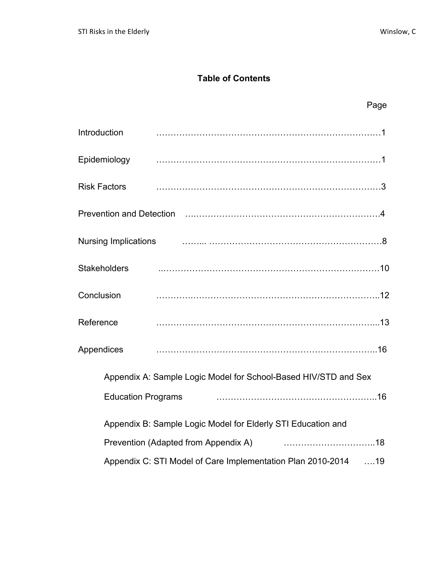## **Table of Contents**

|                                                                 |                                                                                                                | Page |
|-----------------------------------------------------------------|----------------------------------------------------------------------------------------------------------------|------|
| Introduction                                                    |                                                                                                                |      |
| Epidemiology                                                    |                                                                                                                |      |
| <b>Risk Factors</b>                                             |                                                                                                                |      |
|                                                                 | Prevention and Detection (1) matter control and the Prevention and Detection (1) matter and the Prevention and |      |
| <b>Nursing Implications</b>                                     |                                                                                                                |      |
| <b>Stakeholders</b>                                             |                                                                                                                |      |
| Conclusion                                                      |                                                                                                                |      |
| Reference                                                       |                                                                                                                |      |
| Appendices                                                      |                                                                                                                |      |
| Appendix A: Sample Logic Model for School-Based HIV/STD and Sex |                                                                                                                |      |
| <b>Education Programs</b>                                       |                                                                                                                |      |
| Appendix B: Sample Logic Model for Elderly STI Education and    |                                                                                                                |      |
| Prevention (Adapted from Appendix A)                            |                                                                                                                |      |
|                                                                 | Appendix C: STI Model of Care Implementation Plan 2010-2014 19                                                 |      |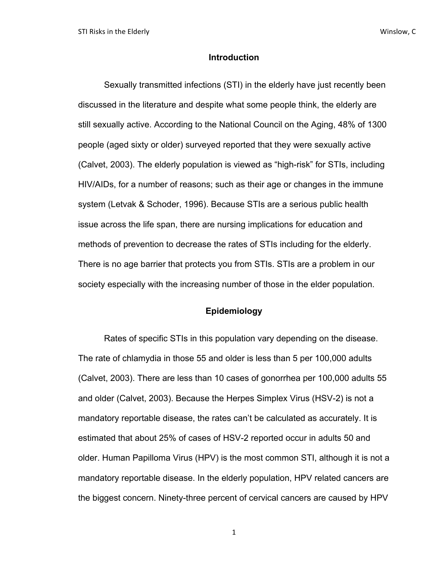#### **Introduction**

Sexually transmitted infections (STI) in the elderly have just recently been discussed in the literature and despite what some people think, the elderly are still sexually active. According to the National Council on the Aging, 48% of 1300 people (aged sixty or older) surveyed reported that they were sexually active (Calvet, 2003). The elderly population is viewed as "high-risk" for STIs, including HIV/AIDs, for a number of reasons; such as their age or changes in the immune system (Letvak & Schoder, 1996). Because STIs are a serious public health issue across the life span, there are nursing implications for education and methods of prevention to decrease the rates of STIs including for the elderly. There is no age barrier that protects you from STIs. STIs are a problem in our society especially with the increasing number of those in the elder population.

#### **Epidemiology**

Rates of specific STIs in this population vary depending on the disease. The rate of chlamydia in those 55 and older is less than 5 per 100,000 adults (Calvet, 2003). There are less than 10 cases of gonorrhea per 100,000 adults 55 and older (Calvet, 2003). Because the Herpes Simplex Virus (HSV-2) is not a mandatory reportable disease, the rates can't be calculated as accurately. It is estimated that about 25% of cases of HSV-2 reported occur in adults 50 and older. Human Papilloma Virus (HPV) is the most common STI, although it is not a mandatory reportable disease. In the elderly population, HPV related cancers are the biggest concern. Ninety-three percent of cervical cancers are caused by HPV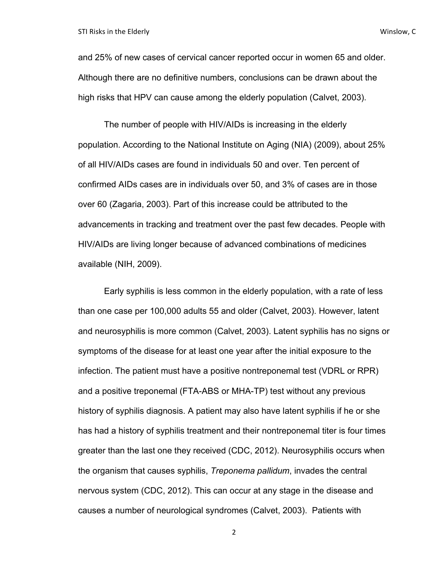and 25% of new cases of cervical cancer reported occur in women 65 and older. Although there are no definitive numbers, conclusions can be drawn about the high risks that HPV can cause among the elderly population (Calvet, 2003).

The number of people with HIV/AIDs is increasing in the elderly population. According to the National Institute on Aging (NIA) (2009), about 25% of all HIV/AIDs cases are found in individuals 50 and over. Ten percent of confirmed AIDs cases are in individuals over 50, and 3% of cases are in those over 60 (Zagaria, 2003). Part of this increase could be attributed to the advancements in tracking and treatment over the past few decades. People with HIV/AIDs are living longer because of advanced combinations of medicines available (NIH, 2009).

Early syphilis is less common in the elderly population, with a rate of less than one case per 100,000 adults 55 and older (Calvet, 2003). However, latent and neurosyphilis is more common (Calvet, 2003). Latent syphilis has no signs or symptoms of the disease for at least one year after the initial exposure to the infection. The patient must have a positive nontreponemal test (VDRL or RPR) and a positive treponemal (FTA-ABS or MHA-TP) test without any previous history of syphilis diagnosis. A patient may also have latent syphilis if he or she has had a history of syphilis treatment and their nontreponemal titer is four times greater than the last one they received (CDC, 2012). Neurosyphilis occurs when the organism that causes syphilis, *Treponema pallidum*, invades the central nervous system (CDC, 2012). This can occur at any stage in the disease and causes a number of neurological syndromes (Calvet, 2003). Patients with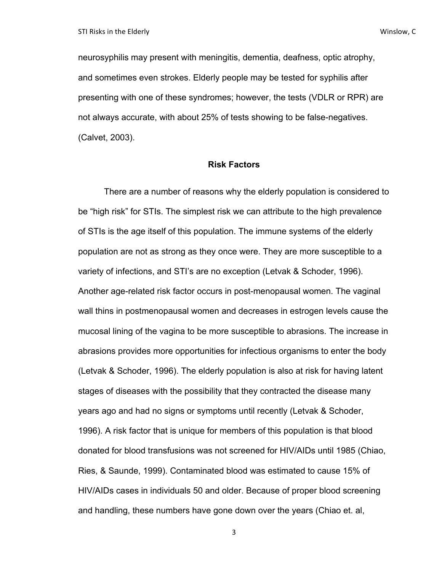neurosyphilis may present with meningitis, dementia, deafness, optic atrophy, and sometimes even strokes. Elderly people may be tested for syphilis after presenting with one of these syndromes; however, the tests (VDLR or RPR) are not always accurate, with about 25% of tests showing to be false-negatives. (Calvet, 2003).

#### **Risk Factors**

There are a number of reasons why the elderly population is considered to be "high risk" for STIs. The simplest risk we can attribute to the high prevalence of STIs is the age itself of this population. The immune systems of the elderly population are not as strong as they once were. They are more susceptible to a variety of infections, and STI's are no exception (Letvak & Schoder, 1996). Another age-related risk factor occurs in post-menopausal women. The vaginal wall thins in postmenopausal women and decreases in estrogen levels cause the mucosal lining of the vagina to be more susceptible to abrasions. The increase in abrasions provides more opportunities for infectious organisms to enter the body (Letvak & Schoder, 1996). The elderly population is also at risk for having latent stages of diseases with the possibility that they contracted the disease many years ago and had no signs or symptoms until recently (Letvak & Schoder, 1996). A risk factor that is unique for members of this population is that blood donated for blood transfusions was not screened for HIV/AIDs until 1985 (Chiao, Ries, & Saunde, 1999). Contaminated blood was estimated to cause 15% of HIV/AIDs cases in individuals 50 and older. Because of proper blood screening and handling, these numbers have gone down over the years (Chiao et. al,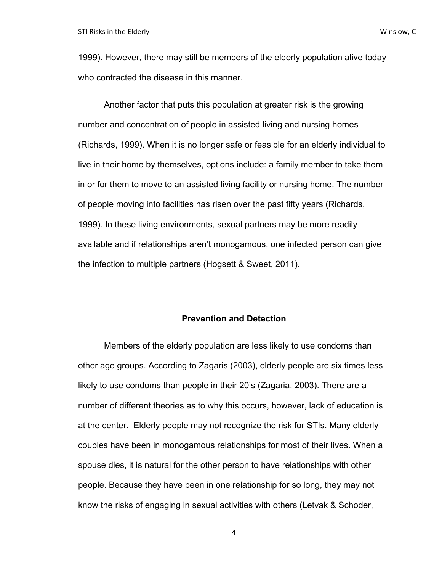1999). However, there may still be members of the elderly population alive today who contracted the disease in this manner.

Another factor that puts this population at greater risk is the growing number and concentration of people in assisted living and nursing homes (Richards, 1999). When it is no longer safe or feasible for an elderly individual to live in their home by themselves, options include: a family member to take them in or for them to move to an assisted living facility or nursing home. The number of people moving into facilities has risen over the past fifty years (Richards, 1999). In these living environments, sexual partners may be more readily available and if relationships aren't monogamous, one infected person can give the infection to multiple partners (Hogsett & Sweet, 2011).

#### **Prevention and Detection**

Members of the elderly population are less likely to use condoms than other age groups. According to Zagaris (2003), elderly people are six times less likely to use condoms than people in their 20's (Zagaria, 2003). There are a number of different theories as to why this occurs, however, lack of education is at the center. Elderly people may not recognize the risk for STIs. Many elderly couples have been in monogamous relationships for most of their lives. When a spouse dies, it is natural for the other person to have relationships with other people. Because they have been in one relationship for so long, they may not know the risks of engaging in sexual activities with others (Letvak & Schoder,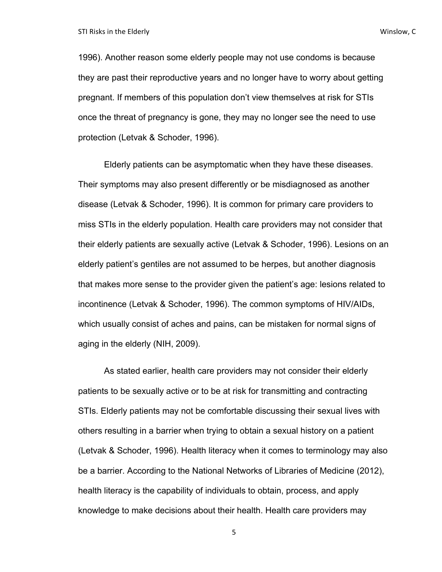1996). Another reason some elderly people may not use condoms is because they are past their reproductive years and no longer have to worry about getting pregnant. If members of this population don't view themselves at risk for STIs once the threat of pregnancy is gone, they may no longer see the need to use protection (Letvak & Schoder, 1996).

Elderly patients can be asymptomatic when they have these diseases. Their symptoms may also present differently or be misdiagnosed as another disease (Letvak & Schoder, 1996). It is common for primary care providers to miss STIs in the elderly population. Health care providers may not consider that their elderly patients are sexually active (Letvak & Schoder, 1996). Lesions on an elderly patient's gentiles are not assumed to be herpes, but another diagnosis that makes more sense to the provider given the patient's age: lesions related to incontinence (Letvak & Schoder, 1996). The common symptoms of HIV/AIDs, which usually consist of aches and pains, can be mistaken for normal signs of aging in the elderly (NIH, 2009).

As stated earlier, health care providers may not consider their elderly patients to be sexually active or to be at risk for transmitting and contracting STIs. Elderly patients may not be comfortable discussing their sexual lives with others resulting in a barrier when trying to obtain a sexual history on a patient (Letvak & Schoder, 1996). Health literacy when it comes to terminology may also be a barrier. According to the National Networks of Libraries of Medicine (2012), health literacy is the capability of individuals to obtain, process, and apply knowledge to make decisions about their health. Health care providers may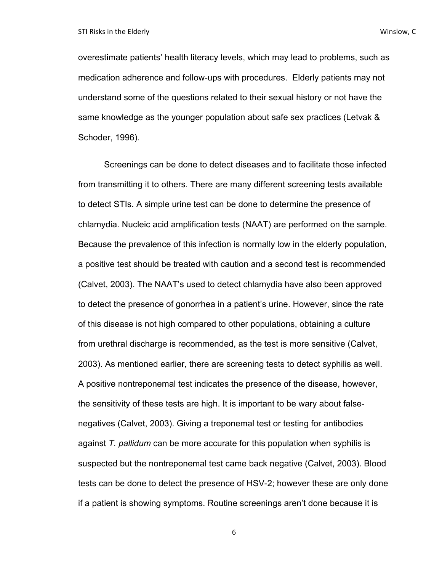overestimate patients' health literacy levels, which may lead to problems, such as medication adherence and follow-ups with procedures. Elderly patients may not understand some of the questions related to their sexual history or not have the same knowledge as the younger population about safe sex practices (Letvak & Schoder, 1996).

Screenings can be done to detect diseases and to facilitate those infected from transmitting it to others. There are many different screening tests available to detect STIs. A simple urine test can be done to determine the presence of chlamydia. Nucleic acid amplification tests (NAAT) are performed on the sample. Because the prevalence of this infection is normally low in the elderly population, a positive test should be treated with caution and a second test is recommended (Calvet, 2003). The NAAT's used to detect chlamydia have also been approved to detect the presence of gonorrhea in a patient's urine. However, since the rate of this disease is not high compared to other populations, obtaining a culture from urethral discharge is recommended, as the test is more sensitive (Calvet, 2003). As mentioned earlier, there are screening tests to detect syphilis as well. A positive nontreponemal test indicates the presence of the disease, however, the sensitivity of these tests are high. It is important to be wary about falsenegatives (Calvet, 2003). Giving a treponemal test or testing for antibodies against *T. pallidum* can be more accurate for this population when syphilis is suspected but the nontreponemal test came back negative (Calvet, 2003). Blood tests can be done to detect the presence of HSV-2; however these are only done if a patient is showing symptoms. Routine screenings aren't done because it is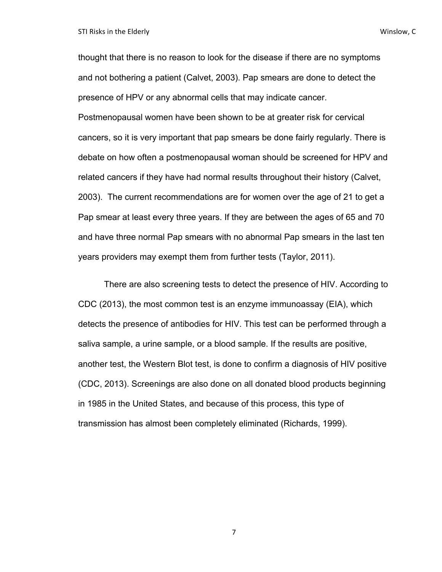thought that there is no reason to look for the disease if there are no symptoms and not bothering a patient (Calvet, 2003). Pap smears are done to detect the presence of HPV or any abnormal cells that may indicate cancer. Postmenopausal women have been shown to be at greater risk for cervical cancers, so it is very important that pap smears be done fairly regularly. There is debate on how often a postmenopausal woman should be screened for HPV and related cancers if they have had normal results throughout their history (Calvet, 2003). The current recommendations are for women over the age of 21 to get a Pap smear at least every three years. If they are between the ages of 65 and 70 and have three normal Pap smears with no abnormal Pap smears in the last ten years providers may exempt them from further tests (Taylor, 2011).

There are also screening tests to detect the presence of HIV. According to CDC (2013), the most common test is an enzyme immunoassay (EIA), which detects the presence of antibodies for HIV. This test can be performed through a saliva sample, a urine sample, or a blood sample. If the results are positive, another test, the Western Blot test, is done to confirm a diagnosis of HIV positive (CDC, 2013). Screenings are also done on all donated blood products beginning in 1985 in the United States, and because of this process, this type of transmission has almost been completely eliminated (Richards, 1999).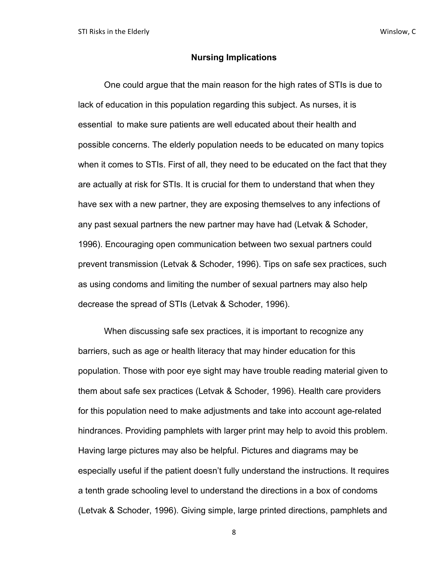#### **Nursing Implications**

One could argue that the main reason for the high rates of STIs is due to lack of education in this population regarding this subject. As nurses, it is essential to make sure patients are well educated about their health and possible concerns. The elderly population needs to be educated on many topics when it comes to STIs. First of all, they need to be educated on the fact that they are actually at risk for STIs. It is crucial for them to understand that when they have sex with a new partner, they are exposing themselves to any infections of any past sexual partners the new partner may have had (Letvak & Schoder, 1996). Encouraging open communication between two sexual partners could prevent transmission (Letvak & Schoder, 1996). Tips on safe sex practices, such as using condoms and limiting the number of sexual partners may also help decrease the spread of STIs (Letvak & Schoder, 1996).

When discussing safe sex practices, it is important to recognize any barriers, such as age or health literacy that may hinder education for this population. Those with poor eye sight may have trouble reading material given to them about safe sex practices (Letvak & Schoder, 1996). Health care providers for this population need to make adjustments and take into account age-related hindrances. Providing pamphlets with larger print may help to avoid this problem. Having large pictures may also be helpful. Pictures and diagrams may be especially useful if the patient doesn't fully understand the instructions. It requires a tenth grade schooling level to understand the directions in a box of condoms (Letvak & Schoder, 1996). Giving simple, large printed directions, pamphlets and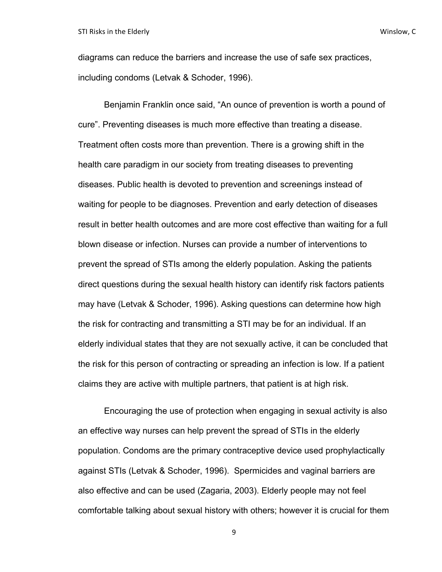diagrams can reduce the barriers and increase the use of safe sex practices, including condoms (Letvak & Schoder, 1996).

Benjamin Franklin once said, "An ounce of prevention is worth a pound of cure". Preventing diseases is much more effective than treating a disease. Treatment often costs more than prevention. There is a growing shift in the health care paradigm in our society from treating diseases to preventing diseases. Public health is devoted to prevention and screenings instead of waiting for people to be diagnoses. Prevention and early detection of diseases result in better health outcomes and are more cost effective than waiting for a full blown disease or infection. Nurses can provide a number of interventions to prevent the spread of STIs among the elderly population. Asking the patients direct questions during the sexual health history can identify risk factors patients may have (Letvak & Schoder, 1996). Asking questions can determine how high the risk for contracting and transmitting a STI may be for an individual. If an elderly individual states that they are not sexually active, it can be concluded that the risk for this person of contracting or spreading an infection is low. If a patient claims they are active with multiple partners, that patient is at high risk.

Encouraging the use of protection when engaging in sexual activity is also an effective way nurses can help prevent the spread of STIs in the elderly population. Condoms are the primary contraceptive device used prophylactically against STIs (Letvak & Schoder, 1996). Spermicides and vaginal barriers are also effective and can be used (Zagaria, 2003). Elderly people may not feel comfortable talking about sexual history with others; however it is crucial for them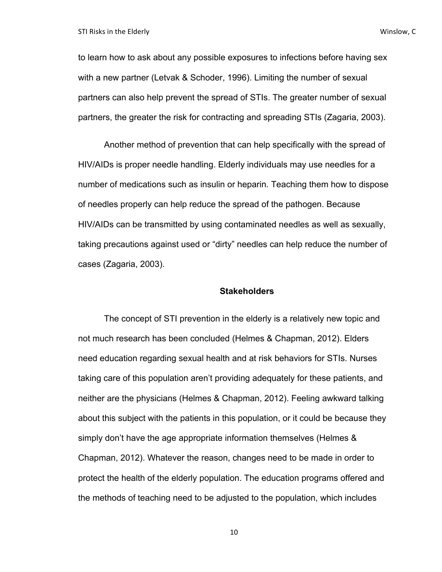to learn how to ask about any possible exposures to infections before having sex with a new partner (Letvak & Schoder, 1996). Limiting the number of sexual partners can also help prevent the spread of STIs. The greater number of sexual partners, the greater the risk for contracting and spreading STIs (Zagaria, 2003).

Another method of prevention that can help specifically with the spread of HIV/AIDs is proper needle handling. Elderly individuals may use needles for a number of medications such as insulin or heparin. Teaching them how to dispose of needles properly can help reduce the spread of the pathogen. Because HIV/AIDs can be transmitted by using contaminated needles as well as sexually, taking precautions against used or "dirty" needles can help reduce the number of cases (Zagaria, 2003).

#### **Stakeholders**

The concept of STI prevention in the elderly is a relatively new topic and not much research has been concluded (Helmes & Chapman, 2012). Elders need education regarding sexual health and at risk behaviors for STIs. Nurses taking care of this population aren't providing adequately for these patients, and neither are the physicians (Helmes & Chapman, 2012). Feeling awkward talking about this subject with the patients in this population, or it could be because they simply don't have the age appropriate information themselves (Helmes & Chapman, 2012). Whatever the reason, changes need to be made in order to protect the health of the elderly population. The education programs offered and the methods of teaching need to be adjusted to the population, which includes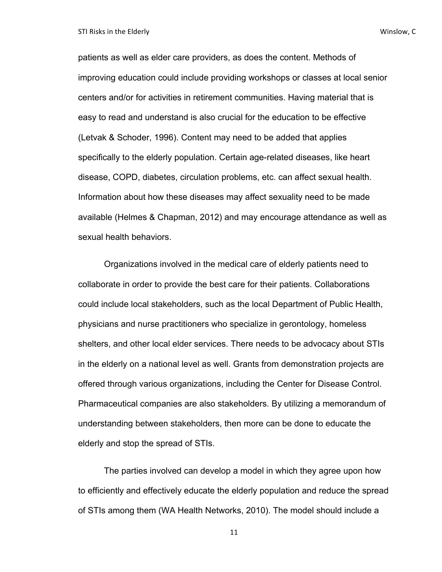STI Risks in the Elderly **And Containers** and Containers and Containers and Containers and Containers and Containers and Containers and Containers and Containers and Containers and Containers and Containers and Containers

patients as well as elder care providers, as does the content. Methods of improving education could include providing workshops or classes at local senior centers and/or for activities in retirement communities. Having material that is easy to read and understand is also crucial for the education to be effective (Letvak & Schoder, 1996). Content may need to be added that applies specifically to the elderly population. Certain age-related diseases, like heart disease, COPD, diabetes, circulation problems, etc. can affect sexual health. Information about how these diseases may affect sexuality need to be made available (Helmes & Chapman, 2012) and may encourage attendance as well as sexual health behaviors.

Organizations involved in the medical care of elderly patients need to collaborate in order to provide the best care for their patients. Collaborations could include local stakeholders, such as the local Department of Public Health, physicians and nurse practitioners who specialize in gerontology, homeless shelters, and other local elder services. There needs to be advocacy about STIs in the elderly on a national level as well. Grants from demonstration projects are offered through various organizations, including the Center for Disease Control. Pharmaceutical companies are also stakeholders. By utilizing a memorandum of understanding between stakeholders, then more can be done to educate the elderly and stop the spread of STIs.

The parties involved can develop a model in which they agree upon how to efficiently and effectively educate the elderly population and reduce the spread of STIs among them (WA Health Networks, 2010). The model should include a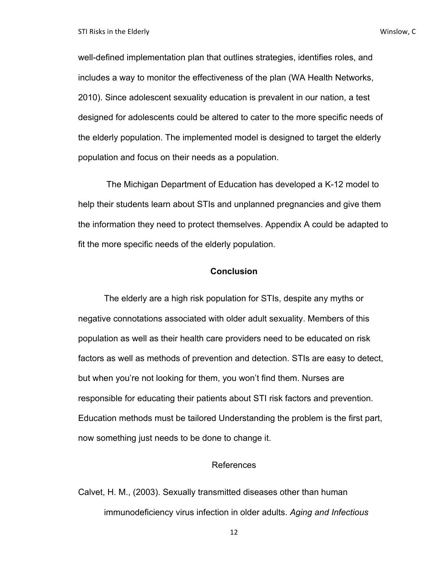well-defined implementation plan that outlines strategies, identifies roles, and includes a way to monitor the effectiveness of the plan (WA Health Networks, 2010). Since adolescent sexuality education is prevalent in our nation, a test designed for adolescents could be altered to cater to the more specific needs of the elderly population. The implemented model is designed to target the elderly population and focus on their needs as a population.

The Michigan Department of Education has developed a K-12 model to help their students learn about STIs and unplanned pregnancies and give them the information they need to protect themselves. Appendix A could be adapted to fit the more specific needs of the elderly population.

#### **Conclusion**

The elderly are a high risk population for STIs, despite any myths or negative connotations associated with older adult sexuality. Members of this population as well as their health care providers need to be educated on risk factors as well as methods of prevention and detection. STIs are easy to detect, but when you're not looking for them, you won't find them. Nurses are responsible for educating their patients about STI risk factors and prevention. Education methods must be tailored Understanding the problem is the first part, now something just needs to be done to change it.

#### References

Calvet, H. M., (2003). Sexually transmitted diseases other than human immunodeficiency virus infection in older adults. *Aging and Infectious*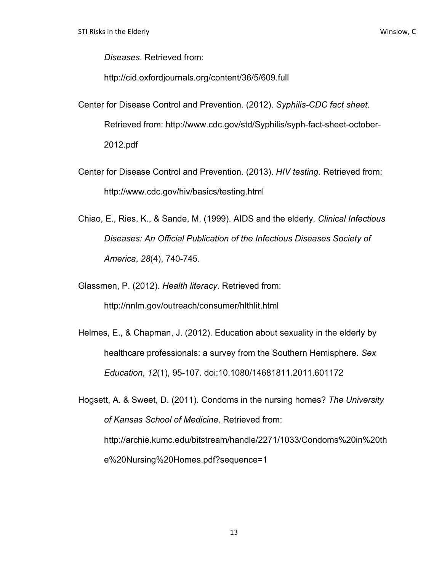*Diseases*. Retrieved from:

http://cid.oxfordjournals.org/content/36/5/609.full

- Center for Disease Control and Prevention. (2012). *Syphilis-CDC fact sheet*. Retrieved from: http://www.cdc.gov/std/Syphilis/syph-fact-sheet-october-2012.pdf
- Center for Disease Control and Prevention. (2013). *HIV testing*. Retrieved from: http://www.cdc.gov/hiv/basics/testing.html
- Chiao, E., Ries, K., & Sande, M. (1999). AIDS and the elderly. *Clinical Infectious Diseases: An Official Publication of the Infectious Diseases Society of America*, *28*(4), 740-745.
- Glassmen, P. (2012). *Health literacy*. Retrieved from: http://nnlm.gov/outreach/consumer/hlthlit.html
- Helmes, E., & Chapman, J. (2012). Education about sexuality in the elderly by healthcare professionals: a survey from the Southern Hemisphere. *Sex Education*, *12*(1), 95-107. doi:10.1080/14681811.2011.601172
- Hogsett, A. & Sweet, D. (2011). Condoms in the nursing homes? *The University of Kansas School of Medicine*. Retrieved from: http://archie.kumc.edu/bitstream/handle/2271/1033/Condoms%20in%20th e%20Nursing%20Homes.pdf?sequence=1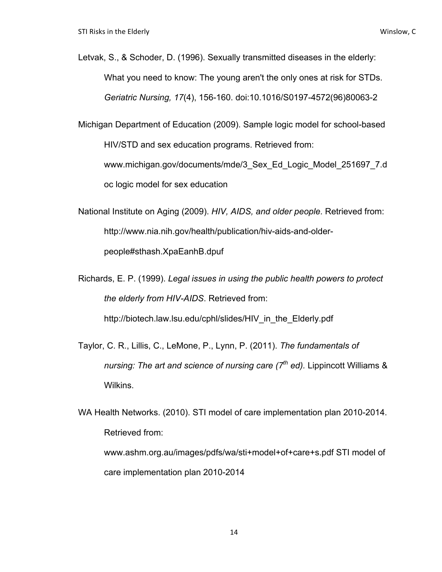- Letvak, S., & Schoder, D. (1996). Sexually transmitted diseases in the elderly: What you need to know: The young aren't the only ones at risk for STDs. *Geriatric Nursing, 17*(4), 156-160. doi:10.1016/S0197-4572(96)80063-2
- Michigan Department of Education (2009). Sample logic model for school-based HIV/STD and sex education programs. Retrieved from: www.michigan.gov/documents/mde/3\_Sex\_Ed\_Logic\_Model\_251697\_7.d oc logic model for sex education
- National Institute on Aging (2009). *HIV, AIDS, and older people*. Retrieved from: http://www.nia.nih.gov/health/publication/hiv-aids-and-olderpeople#sthash.XpaEanhB.dpuf
- Richards, E. P. (1999). *Legal issues in using the public health powers to protect the elderly from HIV-AIDS*. Retrieved from: http://biotech.law.lsu.edu/cphl/slides/HIV in the Elderly.pdf
- Taylor, C. R., Lillis, C., LeMone, P., Lynn, P. (2011). *The fundamentals of nursing: The art and science of nursing care (7<sup>th</sup> ed).* Lippincott Williams & Wilkins.
- WA Health Networks. (2010). STI model of care implementation plan 2010-2014. Retrieved from: www.ashm.org.au/images/pdfs/wa/sti+model+of+care+s.pdf STI model of

care implementation plan 2010-2014